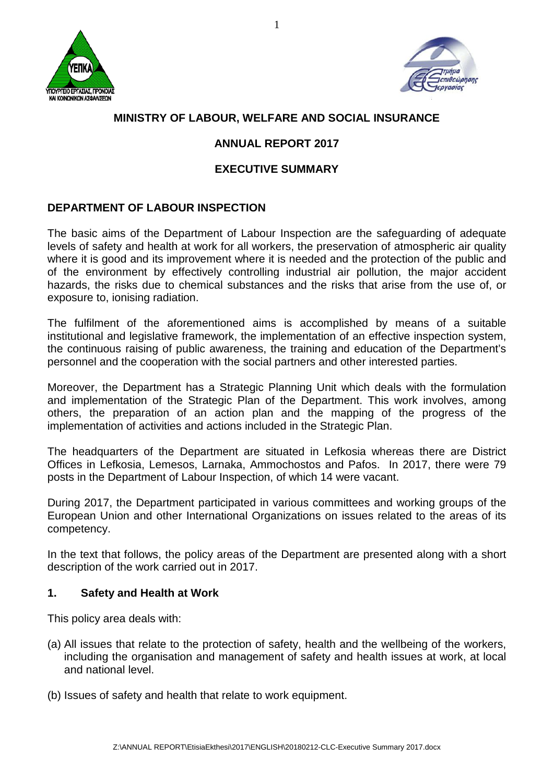



# **MINISTRY OF LABOUR, WELFARE AND SOCIAL INSURANCE**

# **ANNUAL REPORT 2017**

## **EXECUTIVE SUMMARY**

## **DEPARTMENT OF LABOUR INSPECTION**

The basic aims of the Department of Labour Inspection are the safeguarding of adequate levels of safety and health at work for all workers, the preservation of atmospheric air quality where it is good and its improvement where it is needed and the protection of the public and of the environment by effectively controlling industrial air pollution, the major accident hazards, the risks due to chemical substances and the risks that arise from the use of, or exposure to, ionising radiation.

The fulfilment of the aforementioned aims is accomplished by means of a suitable institutional and legislative framework, the implementation of an effective inspection system, the continuous raising of public awareness, the training and education of the Department's personnel and the cooperation with the social partners and other interested parties.

Moreover, the Department has a Strategic Planning Unit which deals with the formulation and implementation of the Strategic Plan of the Department. This work involves, among others, the preparation of an action plan and the mapping of the progress of the implementation of activities and actions included in the Strategic Plan.

The headquarters of the Department are situated in Lefkosia whereas there are District Offices in Lefkosia, Lemesos, Larnaka, Ammochostos and Pafos. In 2017, there were 79 posts in the Department of Labour Inspection, of which 14 were vacant.

During 2017, the Department participated in various committees and working groups of the European Union and other International Organizations on issues related to the areas of its competency.

In the text that follows, the policy areas of the Department are presented along with a short description of the work carried out in 2017.

#### **1. Safety and Health at Work**

This policy area deals with:

- (a) All issues that relate to the protection of safety, health and the wellbeing of the workers, including the organisation and management of safety and health issues at work, at local and national level.
- (b) Issues of safety and health that relate to work equipment.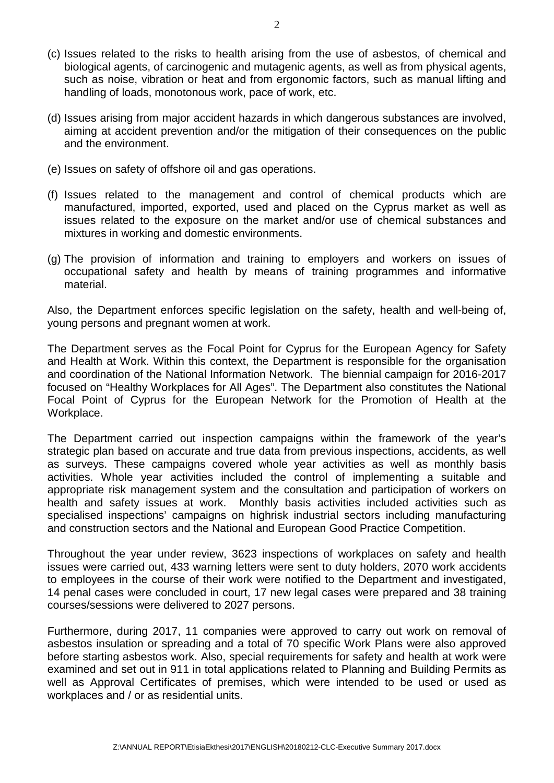- (c) Issues related to the risks to health arising from the use of asbestos, of chemical and biological agents, of carcinogenic and mutagenic agents, as well as from physical agents, such as noise, vibration or heat and from ergonomic factors, such as manual lifting and handling of loads, monotonous work, pace of work, etc.
- (d) Issues arising from major accident hazards in which dangerous substances are involved, aiming at accident prevention and/or the mitigation of their consequences on the public and the environment.
- (e) Issues on safety of offshore oil and gas operations.
- (f) Issues related to the management and control of chemical products which are manufactured, imported, exported, used and placed on the Cyprus market as well as issues related to the exposure on the market and/or use of chemical substances and mixtures in working and domestic environments.
- (g) The provision of information and training to employers and workers on issues of occupational safety and health by means of training programmes and informative material.

Also, the Department enforces specific legislation on the safety, health and well-being of, young persons and pregnant women at work.

The Department serves as the Focal Point for Cyprus for the European Agency for Safety and Health at Work. Within this context, the Department is responsible for the organisation and coordination of the National Information Network. The biennial campaign for 2016-2017 focused on "Healthy Workplaces for All Ages". The Department also constitutes the National Focal Point of Cyprus for the European Network for the Promotion of Health at the Workplace.

The Department carried out inspection campaigns within the framework of the year's strategic plan based on accurate and true data from previous inspections, accidents, as well as surveys. These campaigns covered whole year activities as well as monthly basis activities. Whole year activities included the control of implementing a suitable and appropriate risk management system and the consultation and participation of workers on health and safety issues at work. Monthly basis activities included activities such as specialised inspections' campaigns on highrisk industrial sectors including manufacturing and construction sectors and the National and European Good Practice Competition.

Throughout the year under review, 3623 inspections of workplaces on safety and health issues were carried out, 433 warning letters were sent to duty holders, 2070 work accidents to employees in the course of their work were notified to the Department and investigated, 14 penal cases were concluded in court, 17 new legal cases were prepared and 38 training courses/sessions were delivered to 2027 persons.

Furthermore, during 2017, 11 companies were approved to carry out work on removal of asbestos insulation or spreading and a total of 70 specific Work Plans were also approved before starting asbestos work. Also, special requirements for safety and health at work were examined and set out in 911 in total applications related to Planning and Building Permits as well as Approval Certificates of premises, which were intended to be used or used as workplaces and / or as residential units.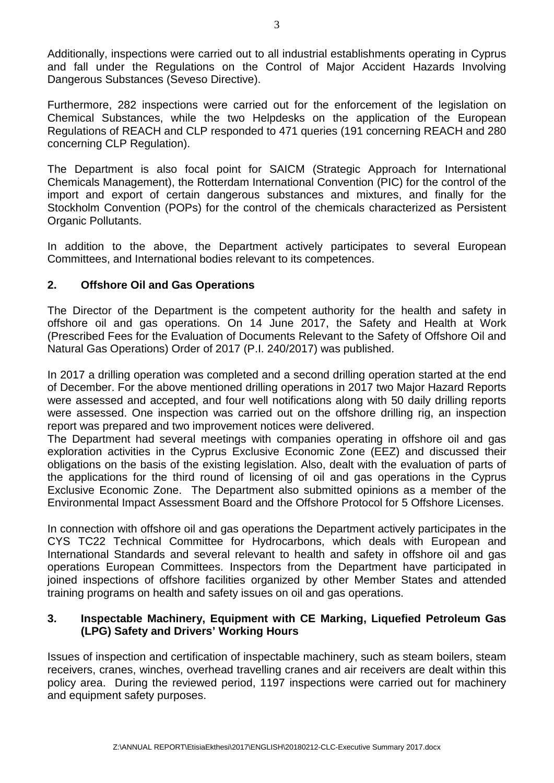Additionally, inspections were carried out to all industrial establishments operating in Cyprus and fall under the Regulations on the Control of Major Accident Hazards Involving Dangerous Substances (Seveso Directive).

Furthermore, 282 inspections were carried out for the enforcement of the legislation on Chemical Substances, while the two Helpdesks on the application of the European Regulations of REACH and CLP responded to 471 queries (191 concerning REACH and 280 concerning CLP Regulation).

The Department is also focal point for SAICM (Strategic Approach for International Chemicals Management), the Rotterdam International Convention (PIC) for the control of the import and export of certain dangerous substances and mixtures, and finally for the Stockholm Convention (POPs) for the control of the chemicals characterized as Persistent Organic Pollutants.

In addition to the above, the Department actively participates to several European Committees, and International bodies relevant to its competences.

### **2. Offshore Oil and Gas Operations**

The Director of the Department is the competent authority for the health and safety in offshore oil and gas operations. On 14 June 2017, the Safety and Health at Work (Prescribed Fees for the Evaluation of Documents Relevant to the Safety of Offshore Oil and Natural Gas Operations) Order of 2017 (P.I. 240/2017) was published.

In 2017 a drilling operation was completed and a second drilling operation started at the end of December. For the above mentioned drilling operations in 2017 two Major Hazard Reports were assessed and accepted, and four well notifications along with 50 daily drilling reports were assessed. One inspection was carried out on the offshore drilling rig, an inspection report was prepared and two improvement notices were delivered.

The Department had several meetings with companies operating in offshore oil and gas exploration activities in the Cyprus Exclusive Economic Zone (EEZ) and discussed their obligations on the basis of the existing legislation. Also, dealt with the evaluation of parts of the applications for the third round of licensing of oil and gas operations in the Cyprus Exclusive Economic Zone. The Department also submitted opinions as a member of the Environmental Impact Assessment Board and the Offshore Protocol for 5 Offshore Licenses.

In connection with offshore oil and gas operations the Department actively participates in the CYS TC22 Technical Committee for Hydrocarbons, which deals with European and International Standards and several relevant to health and safety in offshore oil and gas operations European Committees. Inspectors from the Department have participated in joined inspections of offshore facilities organized by other Member States and attended training programs on health and safety issues on oil and gas operations.

#### **3. Inspectable Machinery, Equipment with CE Marking, Liquefied Petroleum Gas (LPG) Safety and Drivers' Working Hours**

Issues of inspection and certification of inspectable machinery, such as steam boilers, steam receivers, cranes, winches, overhead travelling cranes and air receivers are dealt within this policy area. During the reviewed period, 1197 inspections were carried out for machinery and equipment safety purposes.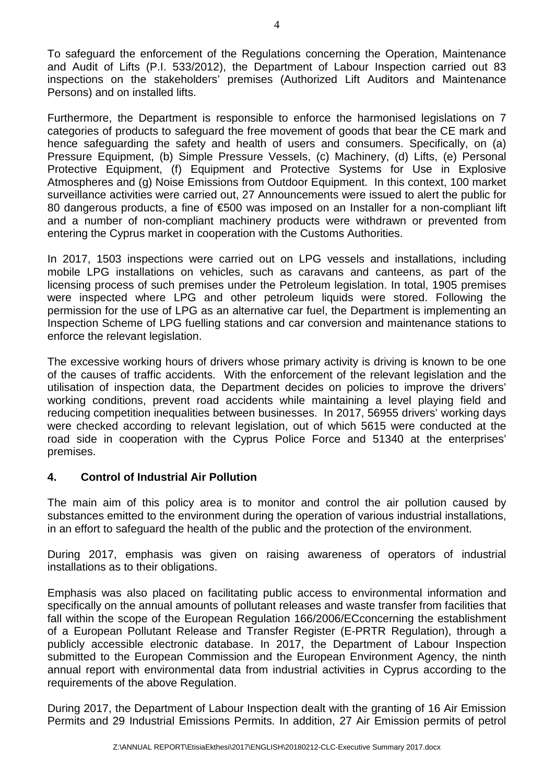To safeguard the enforcement of the Regulations concerning the Operation, Maintenance and Audit of Lifts (P.I. 533/2012), the Department of Labour Inspection carried out 83 inspections on the stakeholders' premises (Authorized Lift Auditors and Maintenance Persons) and on installed lifts.

Furthermore, the Department is responsible to enforce the harmonised legislations on 7 categories of products to safeguard the free movement of goods that bear the CE mark and hence safeguarding the safety and health of users and consumers. Specifically, on (a) Pressure Equipment, (b) Simple Pressure Vessels, (c) Machinery, (d) Lifts, (e) Personal Protective Equipment, (f) Equipment and Protective Systems for Use in Explosive Atmospheres and (g) Noise Emissions from Outdoor Equipment. In this context, 100 market surveillance activities were carried out, 27 Announcements were issued to alert the public for 80 dangerous products, a fine of €500 was imposed on an Installer for a non-compliant lift and a number of non-compliant machinery products were withdrawn or prevented from entering the Cyprus market in cooperation with the Customs Authorities.

In 2017, 1503 inspections were carried out on LPG vessels and installations, including mobile LPG installations on vehicles, such as caravans and canteens, as part of the licensing process of such premises under the Petroleum legislation. In total, 1905 premises were inspected where LPG and other petroleum liquids were stored. Following the permission for the use of LPG as an alternative car fuel, the Department is implementing an Inspection Scheme of LPG fuelling stations and car conversion and maintenance stations to enforce the relevant legislation.

The excessive working hours of drivers whose primary activity is driving is known to be one of the causes of traffic accidents. With the enforcement of the relevant legislation and the utilisation of inspection data, the Department decides on policies to improve the drivers' working conditions, prevent road accidents while maintaining a level playing field and reducing competition inequalities between businesses. In 2017, 56955 drivers' working days were checked according to relevant legislation, out of which 5615 were conducted at the road side in cooperation with the Cyprus Police Force and 51340 at the enterprises' premises.

#### **4. Control of Industrial Air Pollution**

The main aim of this policy area is to monitor and control the air pollution caused by substances emitted to the environment during the operation of various industrial installations, in an effort to safeguard the health of the public and the protection of the environment.

During 2017, emphasis was given on raising awareness of operators of industrial installations as to their obligations.

Emphasis was also placed on facilitating public access to environmental information and specifically on the annual amounts of pollutant releases and waste transfer from facilities that fall within the scope of the European Regulation 166/2006/ECconcerning the establishment of a European Pollutant Release and Transfer Register (E-PRTR Regulation), through a publicly accessible electronic database. In 2017, the Department of Labour Inspection submitted to the European Commission and the European Environment Agency, the ninth annual report with environmental data from industrial activities in Cyprus according to the requirements of the above Regulation.

During 2017, the Department of Labour Inspection dealt with the granting of 16 Air Emission Permits and 29 Industrial Emissions Permits. In addition, 27 Air Emission permits of petrol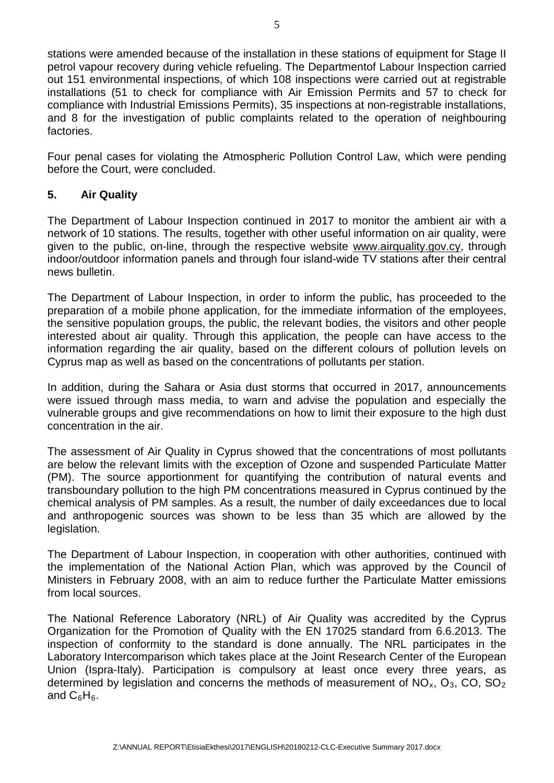stations were amended because of the installation in these stations of equipment for Stage II petrol vapour recovery during vehicle refueling. The Departmentof Labour Inspection carried out 151 environmental inspections, of which 108 inspections were carried out at registrable installations (51 to check for compliance with Air Emission Permits and 57 to check for compliance with Industrial Emissions Permits), 35 inspections at non-registrable installations, and 8 for the investigation of public complaints related to the operation of neighbouring factories.

Four penal cases for violating the Atmospheric Pollution Control Law, which were pending before the Court, were concluded.

### **5. Air Quality**

The Department of Labour Inspection continued in 2017 to monitor the ambient air with a network of 10 stations. The results, together with other useful information on air quality, were given to the public, on-line, through the respective website [www.airquality.gov.cy,](http://www.airquality.gov.cy/) through indoor/outdoor information panels and through four island-wide TV stations after their central news bulletin.

The Department of Labour Inspection, in order to inform the public, has proceeded to the preparation of a mobile phone application, for the immediate information of the employees, the sensitive population groups, the public, the relevant bodies, the visitors and other people interested about air quality. Through this application, the people can have access to the information regarding the air quality, based on the different colours of pollution levels on Cyprus map as well as based on the concentrations of pollutants per station.

In addition, during the Sahara or Asia dust storms that occurred in 2017, announcements were issued through mass media, to warn and advise the population and especially the vulnerable groups and give recommendations on how to limit their exposure to the high dust concentration in the air.

The assessment of Air Quality in Cyprus showed that the concentrations of most pollutants are below the relevant limits with the exception of Ozone and suspended Particulate Matter (PM). The source apportionment for quantifying the contribution of natural events and transboundary pollution to the high PM concentrations measured in Cyprus continued by the chemical analysis of PM samples. As a result, the number of daily exceedances due to local and anthropogenic sources was shown to be less than 35 which are allowed by the legislation.

The Department of Labour Inspection, in cooperation with other authorities, continued with the implementation of the National Action Plan, which was approved by the Council of Ministers in February 2008, with an aim to reduce further the Particulate Matter emissions from local sources.

The National Reference Laboratory (NRL) of Air Quality was accredited by the Cyprus Organization for the Promotion of Quality with the EN 17025 standard from 6.6.2013. The inspection of conformity to the standard is done annually. The NRL participates in the Laboratory Intercomparison which takes place at the Joint Research Center of the European Union (Ispra-Italy). Participation is compulsory at least once every three years, as determined by legislation and concerns the methods of measurement of  $NO_x$ ,  $O_3$ ,  $CO$ ,  $SO_2$ and  $C_6H_6$ .